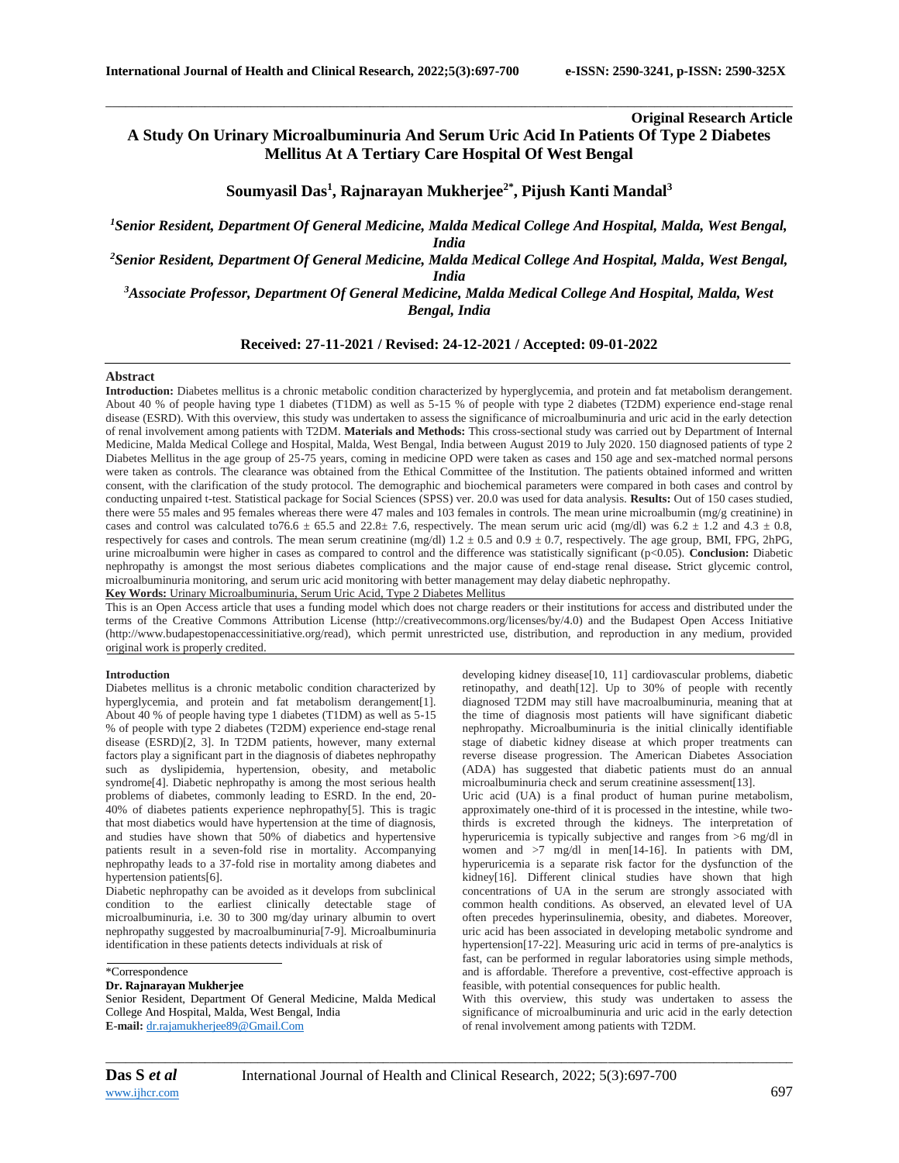**Original Research Article**

# **A Study On Urinary Microalbuminuria And Serum Uric Acid In Patients Of Type 2 Diabetes Mellitus At A Tertiary Care Hospital Of West Bengal**

\_\_\_\_\_\_\_\_\_\_\_\_\_\_\_\_\_\_\_\_\_\_\_\_\_\_\_\_\_\_\_\_\_\_\_\_\_\_\_\_\_\_\_\_\_\_\_\_\_\_\_\_\_\_\_\_\_\_\_\_\_\_\_\_\_\_\_\_\_\_\_\_\_\_\_\_\_\_\_\_\_\_\_\_\_\_\_\_\_\_\_\_\_\_\_\_\_\_\_\_\_\_\_\_

# **Soumyasil Das<sup>1</sup> , Rajnarayan Mukherjee2\*, Pijush Kanti Mandal<sup>3</sup>**

*<sup>1</sup>Senior Resident, Department Of General Medicine, Malda Medical College And Hospital, Malda, West Bengal, India*

*<sup>2</sup>Senior Resident, Department Of General Medicine, Malda Medical College And Hospital, Malda, West Bengal, India*

*<sup>3</sup>Associate Professor, Department Of General Medicine, Malda Medical College And Hospital, Malda, West Bengal, India*

## **Received: 27-11-2021 / Revised: 24-12-2021 / Accepted: 09-01-2022**

#### **Abstract**

**Introduction:** Diabetes mellitus is a chronic metabolic condition characterized by hyperglycemia, and protein and fat metabolism derangement. About 40 % of people having type 1 diabetes (T1DM) as well as 5-15 % of people with type 2 diabetes (T2DM) experience end-stage renal disease (ESRD). With this overview, this study was undertaken to assess the significance of microalbuminuria and uric acid in the early detection of renal involvement among patients with T2DM. **Materials and Methods:** This cross-sectional study was carried out by Department of Internal Medicine, Malda Medical College and Hospital, Malda, West Bengal, India between August 2019 to July 2020. 150 diagnosed patients of type 2 Diabetes Mellitus in the age group of 25-75 years, coming in medicine OPD were taken as cases and 150 age and sex-matched normal persons were taken as controls. The clearance was obtained from the Ethical Committee of the Institution. The patients obtained informed and written consent, with the clarification of the study protocol. The demographic and biochemical parameters were compared in both cases and control by conducting unpaired t-test. Statistical package for Social Sciences (SPSS) ver. 20.0 was used for data analysis. **Results:** Out of 150 cases studied, there were 55 males and 95 females whereas there were 47 males and 103 females in controls. The mean urine microalbumin (mg/g creatinine) in cases and control was calculated to76.6  $\pm$  65.5 and 22.8 $\pm$  7.6, respectively. The mean serum uric acid (mg/dl) was 6.2  $\pm$  1.2 and 4.3  $\pm$  0.8, respectively for cases and controls. The mean serum creatinine (mg/dl)  $1.2 \pm 0.5$  and  $0.9 \pm 0.7$ , respectively. The age group, BMI, FPG, 2hPG, urine microalbumin were higher in cases as compared to control and the difference was statistically significant (p<0.05). **Conclusion:** Diabetic nephropathy is amongst the most serious diabetes complications and the major cause of end-stage renal disease**.** Strict glycemic control, microalbuminuria monitoring, and serum uric acid monitoring with better management may delay diabetic nephropathy. **Key Words:** Urinary Microalbuminuria, Serum Uric Acid, Type 2 Diabetes Mellitus

This is an Open Access article that uses a funding model which does not charge readers or their institutions for access and distributed under the terms of the Creative Commons Attribution License (http://creativecommons.org/licenses/by/4.0) and the Budapest Open Access Initiative (http://www.budapestopenaccessinitiative.org/read), which permit unrestricted use, distribution, and reproduction in any medium, provided original work is properly credited.

#### **Introduction**

Diabetes mellitus is a chronic metabolic condition characterized by hyperglycemia, and protein and fat metabolism derangement[1]. About 40 % of people having type 1 diabetes (T1DM) as well as 5-15 % of people with type 2 diabetes (T2DM) experience end-stage renal disease (ESRD)[2, 3]. In T2DM patients, however, many external factors play a significant part in the diagnosis of diabetes nephropathy such as dyslipidemia, hypertension, obesity, and metabolic syndrome[4]. Diabetic nephropathy is among the most serious health problems of diabetes, commonly leading to ESRD. In the end, 20- 40% of diabetes patients experience nephropathy[5]. This is tragic that most diabetics would have hypertension at the time of diagnosis, and studies have shown that 50% of diabetics and hypertensive patients result in a seven-fold rise in mortality. Accompanying nephropathy leads to a 37-fold rise in mortality among diabetes and hypertension patients[6].

Diabetic nephropathy can be avoided as it develops from subclinical condition to the earliest clinically detectable stage of microalbuminuria, i.e. 30 to 300 mg/day urinary albumin to overt nephropathy suggested by macroalbuminuria[7-9]. Microalbuminuria identification in these patients detects individuals at risk of

#### \*Correspondence

#### **Dr. Rajnarayan Mukherjee**

Senior Resident, Department Of General Medicine, Malda Medical College And Hospital, Malda, West Bengal, India **E-mail:** [dr.rajamukherjee89@Gmail.Com](mailto:dr.rajamukherjee89@Gmail.Com)

developing kidney disease[10, 11] cardiovascular problems, diabetic retinopathy, and death[12]. Up to 30% of people with recently diagnosed T2DM may still have macroalbuminuria, meaning that at the time of diagnosis most patients will have significant diabetic nephropathy. Microalbuminuria is the initial clinically identifiable stage of diabetic kidney disease at which proper treatments can reverse disease progression. The American Diabetes Association (ADA) has suggested that diabetic patients must do an annual microalbuminuria check and serum creatinine assessment[13].

Uric acid (UA) is a final product of human purine metabolism, approximately one-third of it is processed in the intestine, while twothirds is excreted through the kidneys. The interpretation of hyperuricemia is typically subjective and ranges from >6 mg/dl in women and  $>7$  mg/dl in men[14-16]. In patients with DM, hyperuricemia is a separate risk factor for the dysfunction of the kidney[16]. Different clinical studies have shown that high concentrations of UA in the serum are strongly associated with common health conditions. As observed, an elevated level of UA often precedes hyperinsulinemia, obesity, and diabetes. Moreover, uric acid has been associated in developing metabolic syndrome and hypertension[17-22]. Measuring uric acid in terms of pre-analytics is fast, can be performed in regular laboratories using simple methods, and is affordable. Therefore a preventive, cost-effective approach is feasible, with potential consequences for public health.

With this overview, this study was undertaken to assess the significance of microalbuminuria and uric acid in the early detection of renal involvement among patients with T2DM.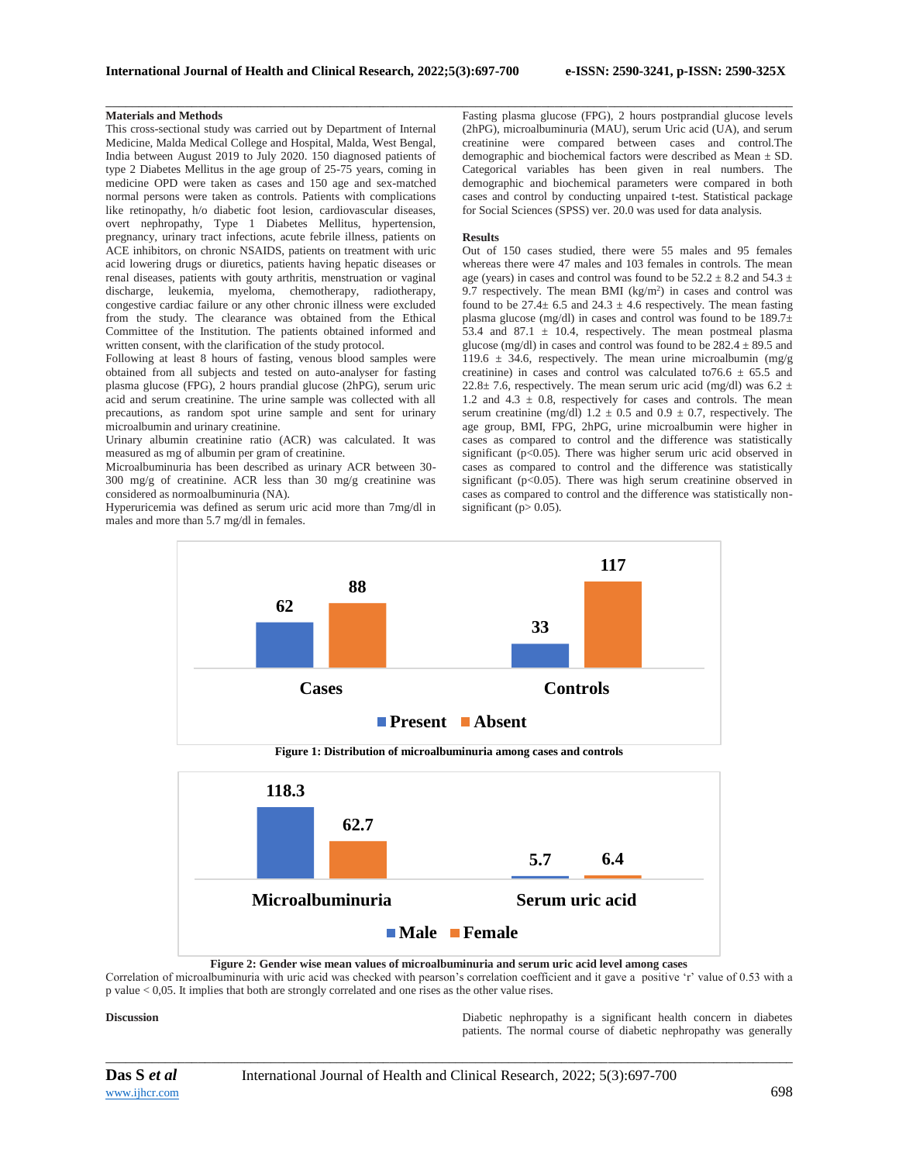### **Materials and Methods**

This cross-sectional study was carried out by Department of Internal Medicine, Malda Medical College and Hospital, Malda, West Bengal, India between August 2019 to July 2020. 150 diagnosed patients of type 2 Diabetes Mellitus in the age group of 25-75 years, coming in medicine OPD were taken as cases and 150 age and sex-matched normal persons were taken as controls. Patients with complications like retinopathy, h/o diabetic foot lesion, cardiovascular diseases, overt nephropathy, Type 1 Diabetes Mellitus, hypertension, pregnancy, urinary tract infections, acute febrile illness, patients on ACE inhibitors, on chronic NSAIDS, patients on treatment with uric acid lowering drugs or diuretics, patients having hepatic diseases or renal diseases, patients with gouty arthritis, menstruation or vaginal discharge, leukemia, myeloma, chemotherapy, radiotherapy, congestive cardiac failure or any other chronic illness were excluded from the study. The clearance was obtained from the Ethical Committee of the Institution. The patients obtained informed and written consent, with the clarification of the study protocol.

Following at least 8 hours of fasting, venous blood samples were obtained from all subjects and tested on auto-analyser for fasting plasma glucose (FPG), 2 hours prandial glucose (2hPG), serum uric acid and serum creatinine. The urine sample was collected with all precautions, as random spot urine sample and sent for urinary microalbumin and urinary creatinine.

Urinary albumin creatinine ratio (ACR) was calculated. It was measured as mg of albumin per gram of creatinine.

Microalbuminuria has been described as urinary ACR between 30- 300 mg/g of creatinine. ACR less than 30 mg/g creatinine was considered as normoalbuminuria (NA).

Hyperuricemia was defined as serum uric acid more than 7mg/dl in males and more than 5.7 mg/dl in females.

\_\_\_\_\_\_\_\_\_\_\_\_\_\_\_\_\_\_\_\_\_\_\_\_\_\_\_\_\_\_\_\_\_\_\_\_\_\_\_\_\_\_\_\_\_\_\_\_\_\_\_\_\_\_\_\_\_\_\_\_\_\_\_\_\_\_\_\_\_\_\_\_\_\_\_\_\_\_\_\_\_\_\_\_\_\_\_\_\_\_\_\_\_\_\_\_\_\_\_\_\_\_\_\_ Fasting plasma glucose (FPG), 2 hours postprandial glucose levels (2hPG), microalbuminuria (MAU), serum Uric acid (UA), and serum creatinine were compared between cases and control.The demographic and biochemical factors were described as Mean ± SD. Categorical variables has been given in real numbers. The demographic and biochemical parameters were compared in both cases and control by conducting unpaired t-test. Statistical package for Social Sciences (SPSS) ver. 20.0 was used for data analysis.

#### **Results**

Out of 150 cases studied, there were 55 males and 95 females whereas there were 47 males and 103 females in controls. The mean age (years) in cases and control was found to be  $52.2 \pm 8.2$  and  $54.3 \pm 1.5$ 9.7 respectively. The mean BMI  $(kg/m<sup>2</sup>)$  in cases and control was found to be  $27.4 \pm 6.5$  and  $24.3 \pm 4.6$  respectively. The mean fasting plasma glucose (mg/dl) in cases and control was found to be 189.7± 53.4 and 87.1  $\pm$  10.4, respectively. The mean postmeal plasma glucose (mg/dl) in cases and control was found to be  $282.4 \pm 89.5$  and 119.6  $\pm$  34.6, respectively. The mean urine microalbumin (mg/g) creatinine) in cases and control was calculated to  $76.6 \pm 65.5$  and 22.8 $\pm$  7.6, respectively. The mean serum uric acid (mg/dl) was 6.2  $\pm$ 1.2 and  $4.3 \pm 0.8$ , respectively for cases and controls. The mean serum creatinine (mg/dl)  $1.2 \pm 0.5$  and  $0.9 \pm 0.7$ , respectively. The age group, BMI, FPG, 2hPG, urine microalbumin were higher in cases as compared to control and the difference was statistically significant (p<0.05). There was higher serum uric acid observed in cases as compared to control and the difference was statistically significant ( $p<0.05$ ). There was high serum creatinine observed in cases as compared to control and the difference was statistically nonsignificant ( $p > 0.05$ ).



**Figure 2: Gender wise mean values of microalbuminuria and serum uric acid level among cases**

Correlation of microalbuminuria with uric acid was checked with pearson's correlation coefficient and it gave a positive 'r' value of 0.53 with a p value < 0,05. It implies that both are strongly correlated and one rises as the other value rises.

**Discussion** Diabetic nephropathy is a significant health concern in diabetes patients. The normal course of diabetic nephropathy was generally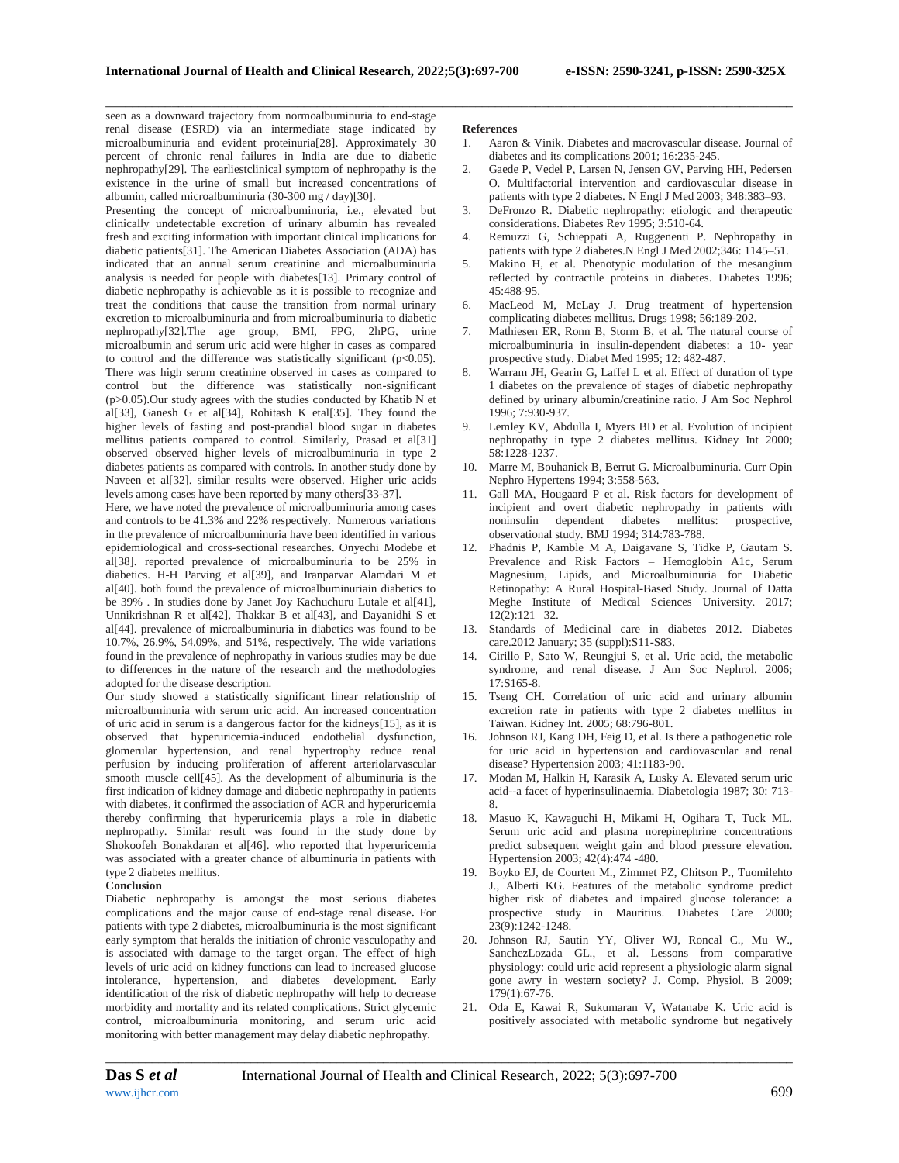seen as a downward trajectory from normoalbuminuria to end-stage renal disease (ESRD) via an intermediate stage indicated by microalbuminuria and evident proteinuria[28]. Approximately 30 percent of chronic renal failures in India are due to diabetic nephropathy[29]. The earliestclinical symptom of nephropathy is the existence in the urine of small but increased concentrations of albumin, called microalbuminuria (30-300 mg / day)[30].

Presenting the concept of microalbuminuria, i.e., elevated but clinically undetectable excretion of urinary albumin has revealed fresh and exciting information with important clinical implications for diabetic patients[31]. The American Diabetes Association (ADA) has indicated that an annual serum creatinine and microalbuminuria analysis is needed for people with diabetes[13]. Primary control of diabetic nephropathy is achievable as it is possible to recognize and treat the conditions that cause the transition from normal urinary excretion to microalbuminuria and from microalbuminuria to diabetic nephropathy[32].The age group, BMI, FPG, 2hPG, urine microalbumin and serum uric acid were higher in cases as compared to control and the difference was statistically significant  $(p<0.05)$ . There was high serum creatinine observed in cases as compared to control but the difference was statistically non-significant  $(p>0.05)$ . Our study agrees with the studies conducted by Khatib N et al[33], Ganesh G et al[34], Rohitash K etal[35]. They found the higher levels of fasting and post-prandial blood sugar in diabetes mellitus patients compared to control. Similarly, Prasad et al[31] observed observed higher levels of microalbuminuria in type 2 diabetes patients as compared with controls. In another study done by Naveen et al[32]. similar results were observed. Higher uric acids levels among cases have been reported by many others[33-37].

Here, we have noted the prevalence of microalbuminuria among cases and controls to be 41.3% and 22% respectively. Numerous variations in the prevalence of microalbuminuria have been identified in various epidemiological and cross-sectional researches. Onyechi Modebe et al[38]. reported prevalence of microalbuminuria to be 25% in diabetics. H-H Parving et al[39], and Iranparvar Alamdari M et al[40]. both found the prevalence of microalbuminuriain diabetics to be 39%. In studies done by Janet Joy Kachuchuru Lutale et al[41], Unnikrishnan R et al[42], Thakkar B et al[43], and Dayanidhi S et al[44]. prevalence of microalbuminuria in diabetics was found to be 10.7%, 26.9%, 54.09%, and 51%, respectively. The wide variations found in the prevalence of nephropathy in various studies may be due to differences in the nature of the research and the methodologies adopted for the disease description.

Our study showed a statistically significant linear relationship of microalbuminuria with serum uric acid. An increased concentration of uric acid in serum is a dangerous factor for the kidneys[15], as it is observed that hyperuricemia-induced endothelial dysfunction, glomerular hypertension, and renal hypertrophy reduce renal perfusion by inducing proliferation of afferent arteriolarvascular smooth muscle cell[45]. As the development of albuminuria is the first indication of kidney damage and diabetic nephropathy in patients with diabetes, it confirmed the association of ACR and hyperuricemia thereby confirming that hyperuricemia plays a role in diabetic nephropathy. Similar result was found in the study done by Shokoofeh Bonakdaran et al[46]. who reported that hyperuricemia was associated with a greater chance of albuminuria in patients with type 2 diabetes mellitus.

#### **Conclusion**

Diabetic nephropathy is amongst the most serious diabetes complications and the major cause of end-stage renal disease**.** For patients with type 2 diabetes, microalbuminuria is the most significant early symptom that heralds the initiation of chronic vasculopathy and is associated with damage to the target organ. The effect of high levels of uric acid on kidney functions can lead to increased glucose intolerance, hypertension, and diabetes development. Early identification of the risk of diabetic nephropathy will help to decrease morbidity and mortality and its related complications. Strict glycemic control, microalbuminuria monitoring, and serum uric acid monitoring with better management may delay diabetic nephropathy.

#### **References**

\_\_\_\_\_\_\_\_\_\_\_\_\_\_\_\_\_\_\_\_\_\_\_\_\_\_\_\_\_\_\_\_\_\_\_\_\_\_\_\_\_\_\_\_\_\_\_\_\_\_\_\_\_\_\_\_\_\_\_\_\_\_\_\_\_\_\_\_\_\_\_\_\_\_\_\_\_\_\_\_\_\_\_\_\_\_\_\_\_\_\_\_\_\_\_\_\_\_\_\_\_\_\_\_

- 1. Aaron & Vinik. Diabetes and macrovascular disease. Journal of diabetes and its complications 2001; 16:235-245.
- 2. Gaede P, Vedel P, Larsen N, Jensen GV, Parving HH, Pedersen O. Multifactorial intervention and cardiovascular disease in patients with type 2 diabetes. N Engl J Med 2003; 348:383–93.
- 3. DeFronzo R. Diabetic nephropathy: etiologic and therapeutic considerations. Diabetes Rev 1995; 3:510-64.
- 4. Remuzzi G, Schieppati A, Ruggenenti P. Nephropathy in patients with type 2 diabetes.N Engl J Med 2002;346: 1145–51.
- 5. Makino H, et al. Phenotypic modulation of the mesangium reflected by contractile proteins in diabetes. Diabetes 1996; 45:488-95.
- 6. MacLeod M, McLay J. Drug treatment of hypertension complicating diabetes mellitus. Drugs 1998; 56:189-202.
- 7. Mathiesen ER, Ronn B, Storm B, et al. The natural course of microalbuminuria in insulin-dependent diabetes: a 10- year prospective study. Diabet Med 1995; 12: 482-487.
- 8. Warram JH, Gearin G, Laffel L et al. Effect of duration of type 1 diabetes on the prevalence of stages of diabetic nephropathy defined by urinary albumin/creatinine ratio. J Am Soc Nephrol 1996; 7:930-937.
- Lemley KV, Abdulla I, Myers BD et al. Evolution of incipient nephropathy in type 2 diabetes mellitus. Kidney Int 2000; 58:1228-1237.
- 10. Marre M, Bouhanick B, Berrut G. Microalbuminuria. Curr Opin Nephro Hypertens 1994; 3:558-563.
- 11. Gall MA, Hougaard P et al. Risk factors for development of incipient and overt diabetic nephropathy in patients with noninsulin dependent diabetes mellitus: prospective, observational study. BMJ 1994; 314:783-788.
- 12. Phadnis P, Kamble M A, Daigavane S, Tidke P, Gautam S. Prevalence and Risk Factors – Hemoglobin A1c, Serum Magnesium, Lipids, and Microalbuminuria for Diabetic Retinopathy: A Rural Hospital-Based Study. Journal of Datta Meghe Institute of Medical Sciences University. 2017; 12(2):121– 32.
- 13. Standards of Medicinal care in diabetes 2012. Diabetes care.2012 January; 35 (suppl):S11-S83.
- 14. Cirillo P, Sato W, Reungjui S, et al. Uric acid, the metabolic syndrome, and renal disease. J Am Soc Nephrol. 2006; 17:S165-8.
- 15. Tseng CH. Correlation of uric acid and urinary albumin excretion rate in patients with type 2 diabetes mellitus in Taiwan. Kidney Int. 2005; 68:796-801.
- 16. Johnson RJ, Kang DH, Feig D, et al. Is there a pathogenetic role for uric acid in hypertension and cardiovascular and renal disease? Hypertension 2003; 41:1183-90.
- 17. Modan M, Halkin H, Karasik A, Lusky A. Elevated serum uric acid--a facet of hyperinsulinaemia. Diabetologia 1987; 30: 713- 8.
- 18. Masuo K, Kawaguchi H, Mikami H, Ogihara T, Tuck ML. Serum uric acid and plasma norepinephrine concentrations predict subsequent weight gain and blood pressure elevation. Hypertension 2003; 42(4):474 -480.
- 19. Boyko EJ, de Courten M., Zimmet PZ, Chitson P., Tuomilehto J., Alberti KG. Features of the metabolic syndrome predict higher risk of diabetes and impaired glucose tolerance: a prospective study in Mauritius. Diabetes Care 2000; 23(9):1242-1248.
- 20. Johnson RJ, Sautin YY, Oliver WJ, Roncal C., Mu W., SanchezLozada GL., et al. Lessons from comparative physiology: could uric acid represent a physiologic alarm signal gone awry in western society? J. Comp. Physiol. B 2009;  $179(1):67-76.$
- 21. Oda E, Kawai R, Sukumaran V, Watanabe K. Uric acid is positively associated with metabolic syndrome but negatively